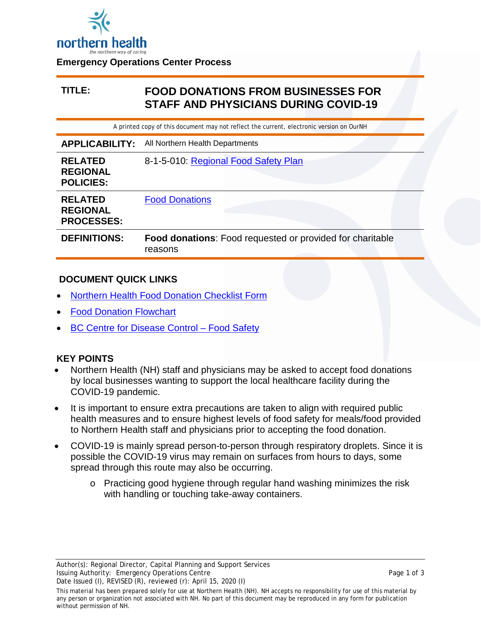

#### **Emergency Operations Center Process**

# **TITLE: FOOD DONATIONS FROM BUSINESSES FOR STAFF AND PHYSICIANS DURING COVID-19**

A printed copy of this document may not reflect the current, electronic version on OurNH

| <b>APPLICABILITY:</b>                                  | All Northern Health Departments                                      |  |  |
|--------------------------------------------------------|----------------------------------------------------------------------|--|--|
| <b>RELATED</b><br><b>REGIONAL</b><br><b>POLICIES:</b>  | 8-1-5-010: Regional Food Safety Plan                                 |  |  |
| <b>RELATED</b><br><b>REGIONAL</b><br><b>PROCESSES:</b> | <b>Food Donations</b>                                                |  |  |
| <b>DEFINITIONS:</b>                                    | Food donations: Food requested or provided for charitable<br>reasons |  |  |

### **DOCUMENT QUICK LINKS**

- [Northern Health Food Donation Checklist Form](https://ournh.northernhealth.ca/oursites/projects/COVID19DocDev/OurNH%20Documents/Food%20Donation%20Checklist%20Form%20for%20Businesses.pdf)
- **[Food Donation Flowchart](https://ournh.northernhealth.ca/oursites/projects/COVID19DocDev/OurNH%20Documents/Food%20Donations%20Flowchart.pdf)**
- [BC Centre for Disease Control –](http://www.bccdc.ca/health-info/diseases-conditions/covid-19/prevention-risks/food-safety) Food Safety

## **KEY POINTS**

- Northern Health (NH) staff and physicians may be asked to accept food donations by local businesses wanting to support the local healthcare facility during the COVID-19 pandemic.
- It is important to ensure extra precautions are taken to align with required public health measures and to ensure highest levels of food safety for meals/food provided to Northern Health staff and physicians prior to accepting the food donation.
- COVID-19 is mainly spread person-to-person through respiratory droplets. Since it is possible the COVID-19 virus may remain on surfaces from hours to days, some spread through this route may also be occurring.
	- o Practicing good hygiene through regular hand washing minimizes the risk with handling or touching take-away containers.

This material has been prepared solely for use at Northern Health (NH). NH accepts no responsibility for use of this material by any person or organization not associated with NH. No part of this document may be reproduced in any form for publication without permission of NH.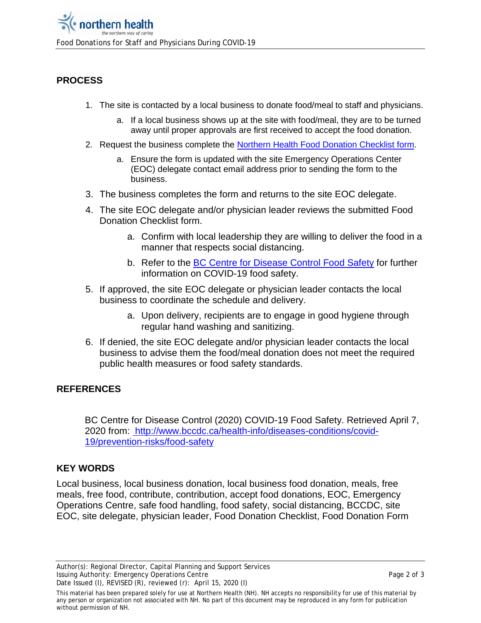# **PROCESS**

- 1. The site is contacted by a local business to donate food/meal to staff and physicians.
	- a. If a local business shows up at the site with food/meal, they are to be turned away until proper approvals are first received to accept the food donation.
- 2. Request the business complete the [Northern Health Food Donation Checklist form.](https://ournh.northernhealth.ca/oursites/projects/COVID19DocDev/OurNH%20Documents/Food%20Donation%20Checklist%20Form%20for%20Businesses.pdf)
	- a. Ensure the form is updated with the site Emergency Operations Center (EOC) delegate contact email address prior to sending the form to the business.
- 3. The business completes the form and returns to the site EOC delegate.
- 4. The site EOC delegate and/or physician leader reviews the submitted Food Donation Checklist form.
	- a. Confirm with local leadership they are willing to deliver the food in a manner that respects social distancing.
	- b. Refer to the [BC Centre for Disease Control Food Safety](http://www.bccdc.ca/health-info/diseases-conditions/covid-19/prevention-risks/food-safety) for further information on COVID-19 food safety.
- 5. If approved, the site EOC delegate or physician leader contacts the local business to coordinate the schedule and delivery.
	- a. Upon delivery, recipients are to engage in good hygiene through regular hand washing and sanitizing.
- 6. If denied, the site EOC delegate and/or physician leader contacts the local business to advise them the food/meal donation does not meet the required public health measures or food safety standards.

# **REFERENCES**

BC Centre for Disease Control (2020) COVID-19 Food Safety. Retrieved April 7, 2020 from: http://www.bccdc.ca/health-info/diseases-conditions/covid-19/prevention-risks/food-safety

# **KEY WORDS**

Local business, local business donation, local business food donation, meals, free meals, free food, contribute, contribution, accept food donations, EOC, Emergency Operations Centre, safe food handling, food safety, social distancing, BCCDC, site EOC, site delegate, physician leader, Food Donation Checklist, Food Donation Form

This material has been prepared solely for use at Northern Health (NH). NH accepts no responsibility for use of this material by any person or organization not associated with NH. No part of this document may be reproduced in any form for publication without permission of NH.